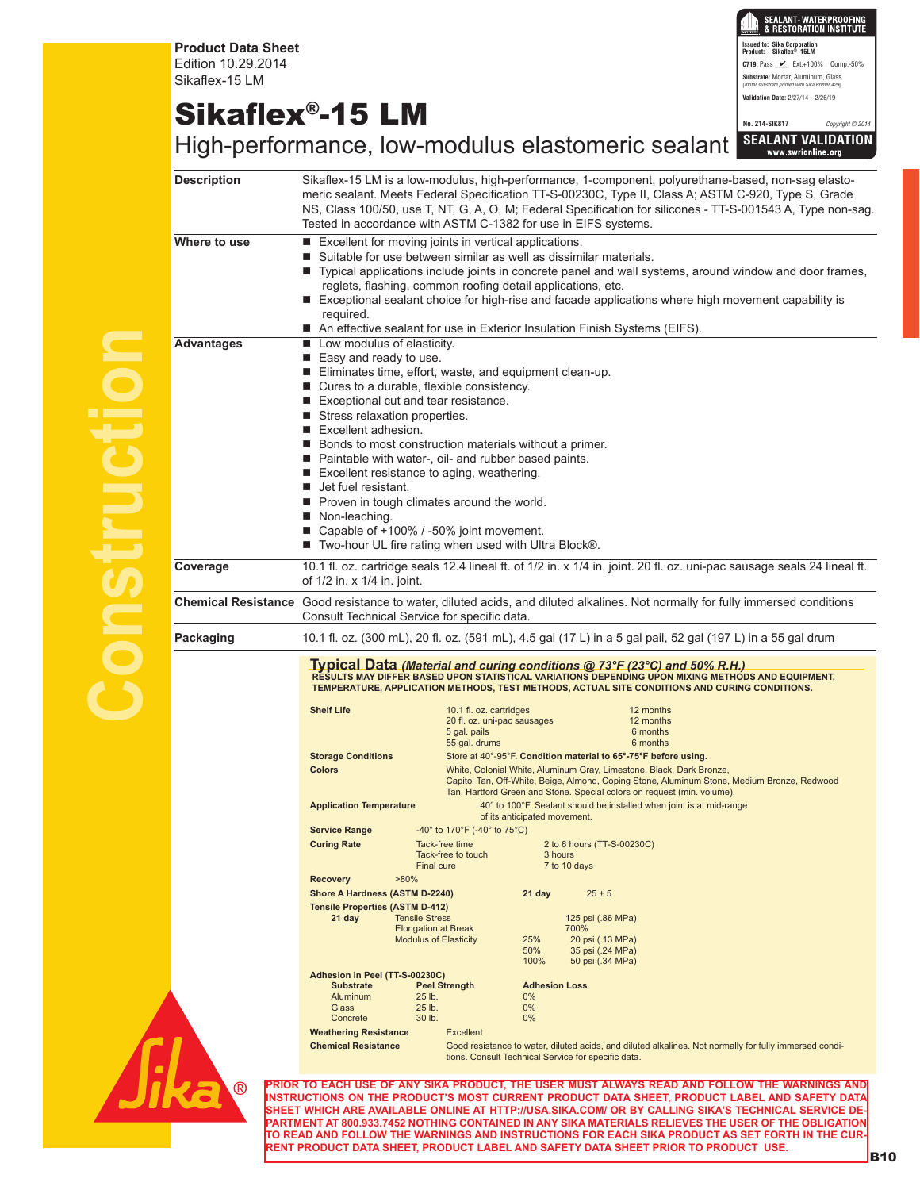**Product Data Sheet** Edition 10.29.2014 Sikaflex-15 LM

## Sikaflex®-15 LM

SEALANT • WATERPROOFING<br>& RESTORATION INSTITUTE **Issued to: Sika Corporation Product: Sikaflex® 15LM C719: Pass**  $\angle$  Ext:+100% Comp:-50% **Substrate:** Mortar, Aluminum, Glass [*motar substrate primed with Sika Primer 429*] **Validation Date:** 2/27/14 – 2/26/19

**No. 214-SIK817** *Copyright © 2014*

|                                                                                                                          |                                                                                                                                                                                                                                                                                                                                                                                                                                                                                                                                                                                                                                                           |                                                                                                                                                                                                                                                                                                                                                                                             | High-performance, low-modulus elastomeric sealant SEALANT VALIDATION                                                                                                                                                                                                                                              |  |  |  |  |
|--------------------------------------------------------------------------------------------------------------------------|-----------------------------------------------------------------------------------------------------------------------------------------------------------------------------------------------------------------------------------------------------------------------------------------------------------------------------------------------------------------------------------------------------------------------------------------------------------------------------------------------------------------------------------------------------------------------------------------------------------------------------------------------------------|---------------------------------------------------------------------------------------------------------------------------------------------------------------------------------------------------------------------------------------------------------------------------------------------------------------------------------------------------------------------------------------------|-------------------------------------------------------------------------------------------------------------------------------------------------------------------------------------------------------------------------------------------------------------------------------------------------------------------|--|--|--|--|
| <b>Description</b>                                                                                                       |                                                                                                                                                                                                                                                                                                                                                                                                                                                                                                                                                                                                                                                           | Sikaflex-15 LM is a low-modulus, high-performance, 1-component, polyurethane-based, non-sag elasto-<br>meric sealant. Meets Federal Specification TT-S-00230C, Type II, Class A; ASTM C-920, Type S, Grade<br>NS, Class 100/50, use T, NT, G, A, O, M; Federal Specification for silicones - TT-S-001543 A, Type non-sag.<br>Tested in accordance with ASTM C-1382 for use in EIFS systems. |                                                                                                                                                                                                                                                                                                                   |  |  |  |  |
| Where to use                                                                                                             | Excellent for moving joints in vertical applications.<br>■ Suitable for use between similar as well as dissimilar materials.<br>■ Typical applications include joints in concrete panel and wall systems, around window and door frames,<br>reglets, flashing, common roofing detail applications, etc.<br>Exceptional sealant choice for high-rise and facade applications where high movement capability is<br>required.<br>■ An effective sealant for use in Exterior Insulation Finish Systems (EIFS).                                                                                                                                                |                                                                                                                                                                                                                                                                                                                                                                                             |                                                                                                                                                                                                                                                                                                                   |  |  |  |  |
| <b>Advantages</b>                                                                                                        | Low modulus of elasticity.<br>$\blacksquare$ Easy and ready to use.<br>■ Eliminates time, effort, waste, and equipment clean-up.<br>■ Cures to a durable, flexible consistency.<br>Exceptional cut and tear resistance.<br>■ Stress relaxation properties.<br>Excellent adhesion.<br>Bonds to most construction materials without a primer.<br>Paintable with water-, oil- and rubber based paints.<br>■ Excellent resistance to aging, weathering.<br><b>Jet fuel resistant.</b><br>■ Proven in tough climates around the world.<br>Non-leaching.<br>■ Capable of +100% / -50% joint movement.<br>■ Two-hour UL fire rating when used with Ultra Block®. |                                                                                                                                                                                                                                                                                                                                                                                             |                                                                                                                                                                                                                                                                                                                   |  |  |  |  |
| Coverage                                                                                                                 | of 1/2 in. x 1/4 in. joint.                                                                                                                                                                                                                                                                                                                                                                                                                                                                                                                                                                                                                               |                                                                                                                                                                                                                                                                                                                                                                                             | 10.1 fl. oz. cartridge seals 12.4 lineal ft. of 1/2 in. x 1/4 in. joint. 20 fl. oz. uni-pac sausage seals 24 lineal ft.                                                                                                                                                                                           |  |  |  |  |
|                                                                                                                          | Consult Technical Service for specific data.                                                                                                                                                                                                                                                                                                                                                                                                                                                                                                                                                                                                              |                                                                                                                                                                                                                                                                                                                                                                                             | Chemical Resistance Good resistance to water, diluted acids, and diluted alkalines. Not normally for fully immersed conditions                                                                                                                                                                                    |  |  |  |  |
| 10.1 fl. oz. (300 mL), 20 fl. oz. (591 mL), 4.5 gal (17 L) in a 5 gal pail, 52 gal (197 L) in a 55 gal drum<br>Packaging |                                                                                                                                                                                                                                                                                                                                                                                                                                                                                                                                                                                                                                                           |                                                                                                                                                                                                                                                                                                                                                                                             |                                                                                                                                                                                                                                                                                                                   |  |  |  |  |
|                                                                                                                          | Typical Data (Material and curing conditions @ 73°F (23°C) and 50% R.H.)<br>RESULTS MAY DIFFER BASED UPON STATISTICAL VARIATIONS DEPENDING UPON MIXING METHODS AND EQUIPMENT,<br>TEMPERATURE, APPLICATION METHODS, TEST METHODS, ACTUAL SITE CONDITIONS AND CURING CONDITIONS.                                                                                                                                                                                                                                                                                                                                                                            |                                                                                                                                                                                                                                                                                                                                                                                             |                                                                                                                                                                                                                                                                                                                   |  |  |  |  |
|                                                                                                                          | <b>Shelf Life</b>                                                                                                                                                                                                                                                                                                                                                                                                                                                                                                                                                                                                                                         | 10.1 fl. oz. cartridges<br>20 fl. oz. uni-pac sausages<br>5 gal. pails<br>55 gal. drums                                                                                                                                                                                                                                                                                                     | 12 months<br>12 months<br>6 months<br>6 months                                                                                                                                                                                                                                                                    |  |  |  |  |
|                                                                                                                          | <b>Storage Conditions</b><br><b>Colors</b>                                                                                                                                                                                                                                                                                                                                                                                                                                                                                                                                                                                                                |                                                                                                                                                                                                                                                                                                                                                                                             | Store at 40°-95°F. Condition material to 65°-75°F before using.<br>White, Colonial White, Aluminum Gray, Limestone, Black, Dark Bronze,<br>Capitol Tan, Off-White, Beige, Almond, Coping Stone, Aluminum Stone, Medium Bronze, Redwood<br>Tan, Hartford Green and Stone. Special colors on request (min. volume). |  |  |  |  |
|                                                                                                                          | <b>Application Temperature</b>                                                                                                                                                                                                                                                                                                                                                                                                                                                                                                                                                                                                                            |                                                                                                                                                                                                                                                                                                                                                                                             | 40° to 100°F. Sealant should be installed when joint is at mid-range<br>of its anticipated movement.                                                                                                                                                                                                              |  |  |  |  |
|                                                                                                                          | <b>Service Range</b><br><b>Curing Rate</b>                                                                                                                                                                                                                                                                                                                                                                                                                                                                                                                                                                                                                | -40 $^{\circ}$ to 170 $^{\circ}$ F (-40 $^{\circ}$ to 75 $^{\circ}$ C)<br>Tack-free time<br>Tack-free to touch<br>Final cure                                                                                                                                                                                                                                                                | 2 to 6 hours (TT-S-00230C)<br>3 hours<br>7 to 10 days                                                                                                                                                                                                                                                             |  |  |  |  |
|                                                                                                                          | <b>Recovery</b><br>$>80\%$<br>Shore A Hardness (ASTM D-2240)<br><b>Tensile Properties (ASTM D-412)</b><br><b>Tensile Stress</b><br>21 day<br><b>Elongation at Break</b><br><b>Modulus of Elasticity</b>                                                                                                                                                                                                                                                                                                                                                                                                                                                   |                                                                                                                                                                                                                                                                                                                                                                                             | 21 day<br>$25 \pm 5$<br>125 psi (.86 MPa)<br>700%<br>25%<br>20 psi (.13 MPa)<br>50%<br>35 psi (.24 MPa)<br>50 psi (.34 MPa)                                                                                                                                                                                       |  |  |  |  |
|                                                                                                                          | Adhesion in Peel (TT-S-00230C)<br><b>Substrate</b><br>Aluminum<br>Glass<br>Concrete                                                                                                                                                                                                                                                                                                                                                                                                                                                                                                                                                                       | <b>Peel Strength</b><br>25 lb.<br>25 lb.<br>30 lb.                                                                                                                                                                                                                                                                                                                                          | 100%<br><b>Adhesion Loss</b><br>$0\%$<br>$0\%$<br>$0\%$                                                                                                                                                                                                                                                           |  |  |  |  |
|                                                                                                                          | <b>Weathering Resistance</b><br><b>Chemical Resistance</b>                                                                                                                                                                                                                                                                                                                                                                                                                                                                                                                                                                                                | <b>Excellent</b>                                                                                                                                                                                                                                                                                                                                                                            | Good resistance to water, diluted acids, and diluted alkalines. Not normally for fully immersed condi-<br>tions. Consult Technical Service for specific data.                                                                                                                                                     |  |  |  |  |
| (R)                                                                                                                      |                                                                                                                                                                                                                                                                                                                                                                                                                                                                                                                                                                                                                                                           |                                                                                                                                                                                                                                                                                                                                                                                             | <mark>PRIOR TO EACH USE OF ANY SIKA PRODUCT, THE USER MUST ALWAYS READ AND FOLLOW THE WARNINGS AND</mark><br>INSTRUCTIONS ON THE PRODUCT'S MOST CURRENT PRODUCT DATA SHEET. PRODUCT LABEL AND SAFETY DATA                                                                                                         |  |  |  |  |



**INSTRUCTIONS ON THE PRODUCT'S MOST CURRENT PRODUCT DATA SHEET, PRODUCT LABEL AND SAFETY DATA SHEET WHICH ARE AVAILABLE ONLINE AT HTTP://USA.SIKA.COM/ OR BY CALLING SIKA'S TECHNICAL SERVICE DE-PARTMENT AT 800.933.7452 NOTHING CONTAINED IN ANY SIKA MATERIALS RELIEVES THE USER OF THE OBLIGATION TO READ AND FOLLOW THE WARNINGS AND INSTRUCTIONS FOR EACH SIKA PRODUCT AS SET FORTH IN THE CUR-RENT PRODUCT DATA SHEET, PRODUCT LABEL AND SAFETY DATA SHEET PRIOR TO PRODUCT USE. B10**